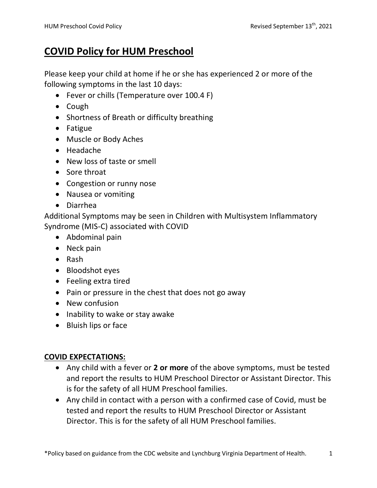## **COVID Policy for HUM Preschool**

Please keep your child at home if he or she has experienced 2 or more of the following symptoms in the last 10 days:

- Fever or chills (Temperature over 100.4 F)
- Cough
- Shortness of Breath or difficulty breathing
- Fatigue
- Muscle or Body Aches
- Headache
- New loss of taste or smell
- Sore throat
- Congestion or runny nose
- Nausea or vomiting
- Diarrhea

Additional Symptoms may be seen in Children with Multisystem Inflammatory Syndrome (MIS-C) associated with COVID

- Abdominal pain
- Neck pain
- Rash
- Bloodshot eyes
- Feeling extra tired
- Pain or pressure in the chest that does not go away
- New confusion
- Inability to wake or stay awake
- Bluish lips or face

### **COVID EXPECTATIONS:**

- Any child with a fever or **2 or more** of the above symptoms, must be tested and report the results to HUM Preschool Director or Assistant Director. This is for the safety of all HUM Preschool families.
- Any child in contact with a person with a confirmed case of Covid, must be tested and report the results to HUM Preschool Director or Assistant Director. This is for the safety of all HUM Preschool families.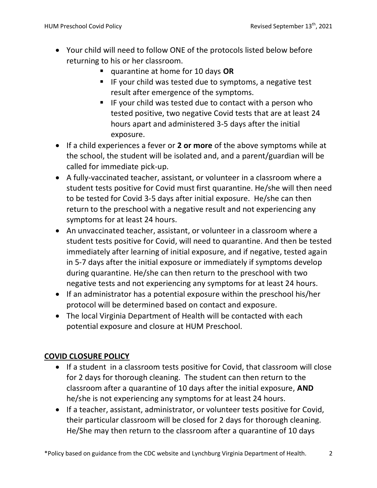- Your child will need to follow ONE of the protocols listed below before returning to his or her classroom.
	- quarantine at home for 10 days **OR**
	- IF your child was tested due to symptoms, a negative test result after emergence of the symptoms.
	- IF your child was tested due to contact with a person who tested positive, two negative Covid tests that are at least 24 hours apart and administered 3-5 days after the initial exposure.
- If a child experiences a fever or **2 or more** of the above symptoms while at the school, the student will be isolated and, and a parent/guardian will be called for immediate pick-up.
- A fully-vaccinated teacher, assistant, or volunteer in a classroom where a student tests positive for Covid must first quarantine. He/she will then need to be tested for Covid 3-5 days after initial exposure. He/she can then return to the preschool with a negative result and not experiencing any symptoms for at least 24 hours.
- An unvaccinated teacher, assistant, or volunteer in a classroom where a student tests positive for Covid, will need to quarantine. And then be tested immediately after learning of initial exposure, and if negative, tested again in 5-7 days after the initial exposure or immediately if symptoms develop during quarantine. He/she can then return to the preschool with two negative tests and not experiencing any symptoms for at least 24 hours.
- If an administrator has a potential exposure within the preschool his/her protocol will be determined based on contact and exposure.
- The local Virginia Department of Health will be contacted with each potential exposure and closure at HUM Preschool.

#### **COVID CLOSURE POLICY**

- If a student in a classroom tests positive for Covid, that classroom will close for 2 days for thorough cleaning. The student can then return to the classroom after a quarantine of 10 days after the initial exposure, **AND**  he/she is not experiencing any symptoms for at least 24 hours.
- If a teacher, assistant, administrator, or volunteer tests positive for Covid, their particular classroom will be closed for 2 days for thorough cleaning. He/She may then return to the classroom after a quarantine of 10 days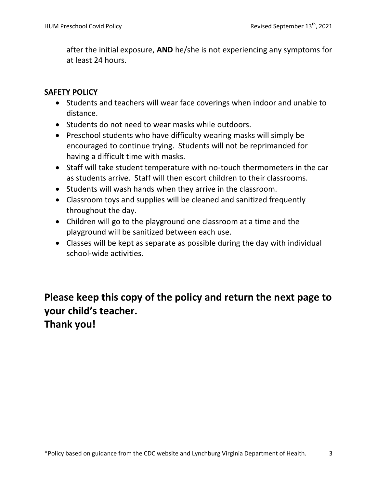after the initial exposure, **AND** he/she is not experiencing any symptoms for at least 24 hours.

#### **SAFETY POLICY**

- Students and teachers will wear face coverings when indoor and unable to distance.
- Students do not need to wear masks while outdoors.
- Preschool students who have difficulty wearing masks will simply be encouraged to continue trying. Students will not be reprimanded for having a difficult time with masks.
- Staff will take student temperature with no-touch thermometers in the car as students arrive. Staff will then escort children to their classrooms.
- Students will wash hands when they arrive in the classroom.
- Classroom toys and supplies will be cleaned and sanitized frequently throughout the day.
- Children will go to the playground one classroom at a time and the playground will be sanitized between each use.
- Classes will be kept as separate as possible during the day with individual school-wide activities.

**Please keep this copy of the policy and return the next page to your child's teacher.** 

**Thank you!**